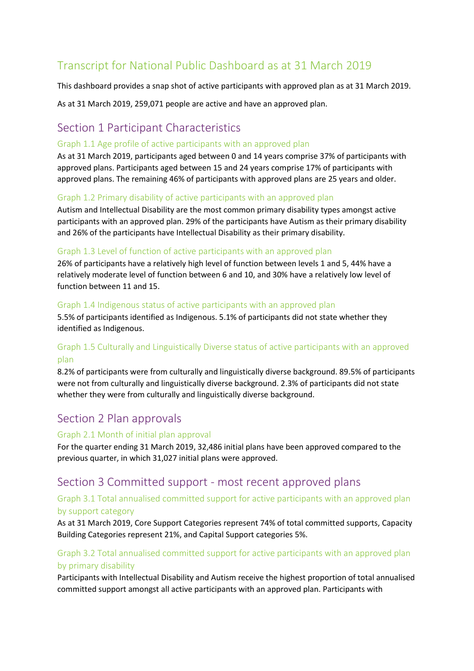# Transcript for National Public Dashboard as at 31 March 2019

This dashboard provides a snap shot of active participants with approved plan as at 31 March 2019.

As at 31 March 2019, 259,071 people are active and have an approved plan.

## Section 1 Participant Characteristics

#### Graph 1.1 Age profile of active participants with an approved plan

As at 31 March 2019, participants aged between 0 and 14 years comprise 37% of participants with approved plans. Participants aged between 15 and 24 years comprise 17% of participants with approved plans. The remaining 46% of participants with approved plans are 25 years and older.

#### Graph 1.2 Primary disability of active participants with an approved plan

Autism and Intellectual Disability are the most common primary disability types amongst active participants with an approved plan. 29% of the participants have Autism as their primary disability and 26% of the participants have Intellectual Disability as their primary disability.

#### Graph 1.3 Level of function of active participants with an approved plan

26% of participants have a relatively high level of function between levels 1 and 5, 44% have a relatively moderate level of function between 6 and 10, and 30% have a relatively low level of function between 11 and 15.

#### Graph 1.4 Indigenous status of active participants with an approved plan

5.5% of participants identified as Indigenous. 5.1% of participants did not state whether they identified as Indigenous.

## Graph 1.5 Culturally and Linguistically Diverse status of active participants with an approved plan

8.2% of participants were from culturally and linguistically diverse background. 89.5% of participants were not from culturally and linguistically diverse background. 2.3% of participants did not state whether they were from culturally and linguistically diverse background.

## Section 2 Plan approvals

#### Graph 2.1 Month of initial plan approval

For the quarter ending 31 March 2019, 32,486 initial plans have been approved compared to the previous quarter, in which 31,027 initial plans were approved.

## Section 3 Committed support - most recent approved plans

#### Graph 3.1 Total annualised committed support for active participants with an approved plan by support category

As at 31 March 2019, Core Support Categories represent 74% of total committed supports, Capacity Building Categories represent 21%, and Capital Support categories 5%.

## Graph 3.2 Total annualised committed support for active participants with an approved plan by primary disability

Participants with Intellectual Disability and Autism receive the highest proportion of total annualised committed support amongst all active participants with an approved plan. Participants with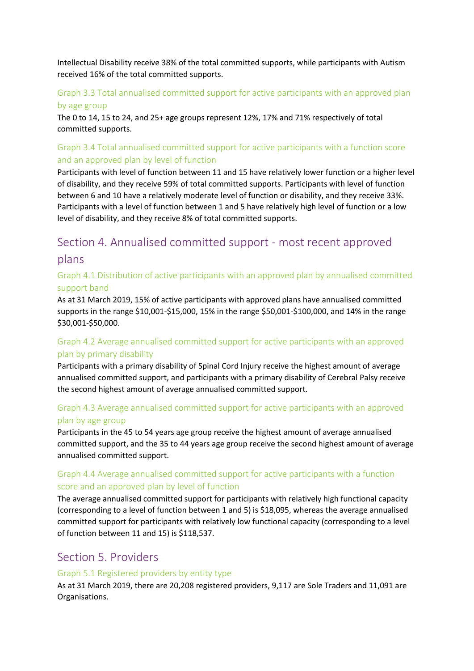Intellectual Disability receive 38% of the total committed supports, while participants with Autism received 16% of the total committed supports.

## Graph 3.3 Total annualised committed support for active participants with an approved plan by age group

The 0 to 14, 15 to 24, and 25+ age groups represent 12%, 17% and 71% respectively of total committed supports.

## Graph 3.4 Total annualised committed support for active participants with a function score and an approved plan by level of function

Participants with level of function between 11 and 15 have relatively lower function or a higher level of disability, and they receive 59% of total committed supports. Participants with level of function between 6 and 10 have a relatively moderate level of function or disability, and they receive 33%. Participants with a level of function between 1 and 5 have relatively high level of function or a low level of disability, and they receive 8% of total committed supports.

# Section 4. Annualised committed support - most recent approved plans

### Graph 4.1 Distribution of active participants with an approved plan by annualised committed support band

As at 31 March 2019, 15% of active participants with approved plans have annualised committed supports in the range \$10,001-\$15,000, 15% in the range \$50,001-\$100,000, and 14% in the range \$30,001-\$50,000.

## Graph 4.2 Average annualised committed support for active participants with an approved plan by primary disability

Participants with a primary disability of Spinal Cord Injury receive the highest amount of average annualised committed support, and participants with a primary disability of Cerebral Palsy receive the second highest amount of average annualised committed support.

## Graph 4.3 Average annualised committed support for active participants with an approved plan by age group

Participants in the 45 to 54 years age group receive the highest amount of average annualised committed support, and the 35 to 44 years age group receive the second highest amount of average annualised committed support.

## Graph 4.4 Average annualised committed support for active participants with a function score and an approved plan by level of function

The average annualised committed support for participants with relatively high functional capacity (corresponding to a level of function between 1 and 5) is \$18,095, whereas the average annualised committed support for participants with relatively low functional capacity (corresponding to a level of function between 11 and 15) is \$118,537.

## Section 5. Providers

#### Graph 5.1 Registered providers by entity type

As at 31 March 2019, there are 20,208 registered providers, 9,117 are Sole Traders and 11,091 are Organisations.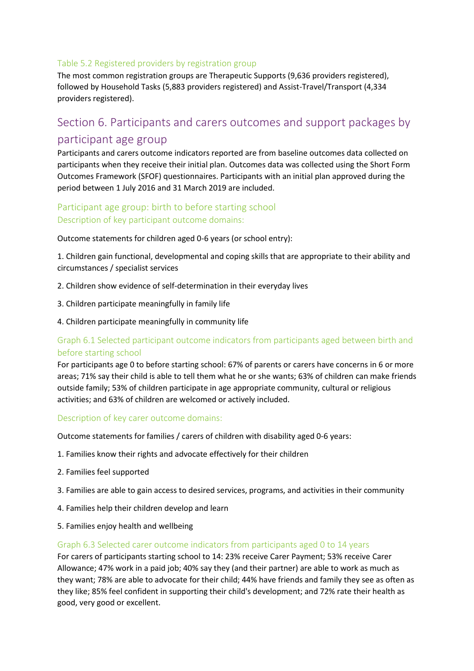#### Table 5.2 Registered providers by registration group

The most common registration groups are Therapeutic Supports (9,636 providers registered), followed by Household Tasks (5,883 providers registered) and Assist-Travel/Transport (4,334 providers registered).

# Section 6. Participants and carers outcomes and support packages by participant age group

Participants and carers outcome indicators reported are from baseline outcomes data collected on participants when they receive their initial plan. Outcomes data was collected using the Short Form Outcomes Framework (SFOF) questionnaires. Participants with an initial plan approved during the period between 1 July 2016 and 31 March 2019 are included.

## Participant age group: birth to before starting school Description of key participant outcome domains:

Outcome statements for children aged 0-6 years (or school entry):

1. Children gain functional, developmental and coping skills that are appropriate to their ability and circumstances / specialist services

- 2. Children show evidence of self-determination in their everyday lives
- 3. Children participate meaningfully in family life
- 4. Children participate meaningfully in community life

## Graph 6.1 Selected participant outcome indicators from participants aged between birth and before starting school

For participants age 0 to before starting school: 67% of parents or carers have concerns in 6 or more areas; 71% say their child is able to tell them what he or she wants; 63% of children can make friends outside family; 53% of children participate in age appropriate community, cultural or religious activities; and 63% of children are welcomed or actively included.

#### Description of key carer outcome domains:

Outcome statements for families / carers of children with disability aged 0-6 years:

- 1. Families know their rights and advocate effectively for their children
- 2. Families feel supported
- 3. Families are able to gain access to desired services, programs, and activities in their community
- 4. Families help their children develop and learn
- 5. Families enjoy health and wellbeing

#### Graph 6.3 Selected carer outcome indicators from participants aged 0 to 14 years

For carers of participants starting school to 14: 23% receive Carer Payment; 53% receive Carer Allowance; 47% work in a paid job; 40% say they (and their partner) are able to work as much as they want; 78% are able to advocate for their child; 44% have friends and family they see as often as they like; 85% feel confident in supporting their child's development; and 72% rate their health as good, very good or excellent.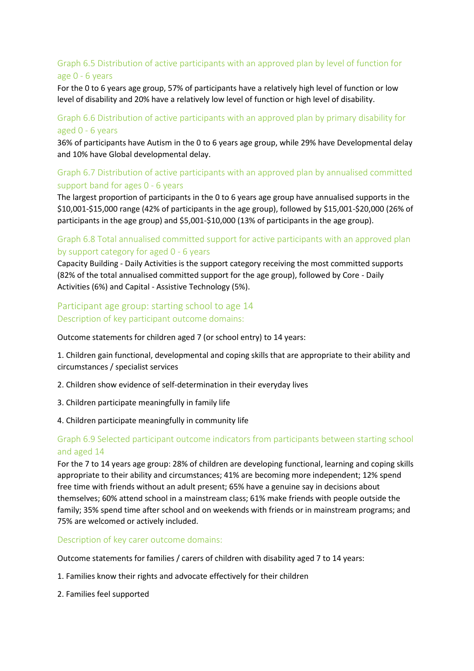## Graph 6.5 Distribution of active participants with an approved plan by level of function for age 0 - 6 years

For the 0 to 6 years age group, 57% of participants have a relatively high level of function or low level of disability and 20% have a relatively low level of function or high level of disability.

#### Graph 6.6 Distribution of active participants with an approved plan by primary disability for aged 0 - 6 years

36% of participants have Autism in the 0 to 6 years age group, while 29% have Developmental delay and 10% have Global developmental delay.

## Graph 6.7 Distribution of active participants with an approved plan by annualised committed support band for ages 0 - 6 years

The largest proportion of participants in the 0 to 6 years age group have annualised supports in the \$10,001-\$15,000 range (42% of participants in the age group), followed by \$15,001-\$20,000 (26% of participants in the age group) and \$5,001-\$10,000 (13% of participants in the age group).

#### Graph 6.8 Total annualised committed support for active participants with an approved plan by support category for aged 0 - 6 years

Capacity Building - Daily Activities is the support category receiving the most committed supports (82% of the total annualised committed support for the age group), followed by Core - Daily Activities (6%) and Capital - Assistive Technology (5%).

### Participant age group: starting school to age 14 Description of key participant outcome domains:

Outcome statements for children aged 7 (or school entry) to 14 years:

1. Children gain functional, developmental and coping skills that are appropriate to their ability and circumstances / specialist services

- 2. Children show evidence of self-determination in their everyday lives
- 3. Children participate meaningfully in family life
- 4. Children participate meaningfully in community life

#### Graph 6.9 Selected participant outcome indicators from participants between starting school and aged 14

For the 7 to 14 years age group: 28% of children are developing functional, learning and coping skills appropriate to their ability and circumstances; 41% are becoming more independent; 12% spend free time with friends without an adult present; 65% have a genuine say in decisions about themselves; 60% attend school in a mainstream class; 61% make friends with people outside the family; 35% spend time after school and on weekends with friends or in mainstream programs; and 75% are welcomed or actively included.

Description of key carer outcome domains:

Outcome statements for families / carers of children with disability aged 7 to 14 years:

- 1. Families know their rights and advocate effectively for their children
- 2. Families feel supported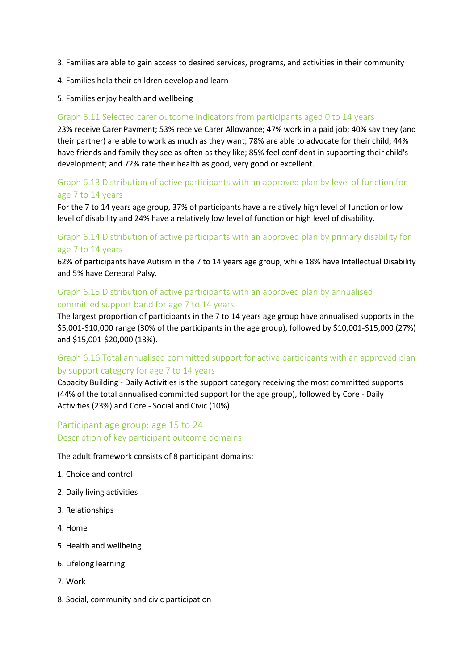- 3. Families are able to gain access to desired services, programs, and activities in their community
- 4. Families help their children develop and learn
- 5. Families enjoy health and wellbeing

#### Graph 6.11 Selected carer outcome indicators from participants aged 0 to 14 years

23% receive Carer Payment; 53% receive Carer Allowance; 47% work in a paid job; 40% say they (and their partner) are able to work as much as they want; 78% are able to advocate for their child; 44% have friends and family they see as often as they like; 85% feel confident in supporting their child's development; and 72% rate their health as good, very good or excellent.

#### Graph 6.13 Distribution of active participants with an approved plan by level of function for age 7 to 14 years

For the 7 to 14 years age group, 37% of participants have a relatively high level of function or low level of disability and 24% have a relatively low level of function or high level of disability.

### Graph 6.14 Distribution of active participants with an approved plan by primary disability for age 7 to 14 years

62% of participants have Autism in the 7 to 14 years age group, while 18% have Intellectual Disability and 5% have Cerebral Palsy.

#### Graph 6.15 Distribution of active participants with an approved plan by annualised committed support band for age 7 to 14 years

The largest proportion of participants in the 7 to 14 years age group have annualised supports in the \$5,001-\$10,000 range (30% of the participants in the age group), followed by \$10,001-\$15,000 (27%) and \$15,001-\$20,000 (13%).

## Graph 6.16 Total annualised committed support for active participants with an approved plan by support category for age 7 to 14 years

Capacity Building - Daily Activities is the support category receiving the most committed supports (44% of the total annualised committed support for the age group), followed by Core - Daily Activities (23%) and Core - Social and Civic (10%).

## Participant age group: age 15 to 24 Description of key participant outcome domains:

The adult framework consists of 8 participant domains:

- 1. Choice and control
- 2. Daily living activities
- 3. Relationships
- 4. Home
- 5. Health and wellbeing
- 6. Lifelong learning
- 7. Work
- 8. Social, community and civic participation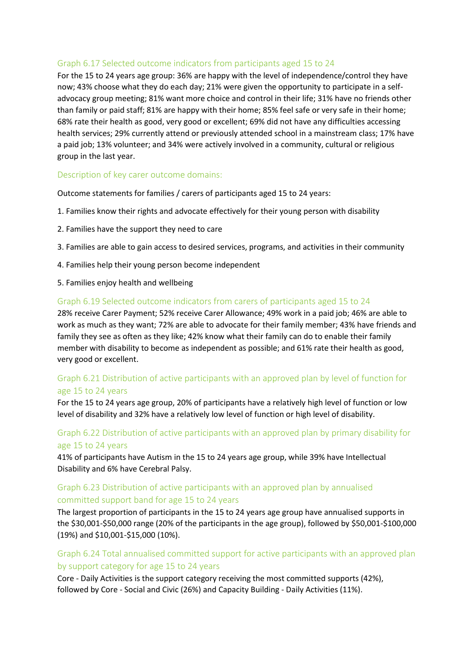#### Graph 6.17 Selected outcome indicators from participants aged 15 to 24

For the 15 to 24 years age group: 36% are happy with the level of independence/control they have now; 43% choose what they do each day; 21% were given the opportunity to participate in a selfadvocacy group meeting; 81% want more choice and control in their life; 31% have no friends other than family or paid staff; 81% are happy with their home; 85% feel safe or very safe in their home; 68% rate their health as good, very good or excellent; 69% did not have any difficulties accessing health services; 29% currently attend or previously attended school in a mainstream class; 17% have a paid job; 13% volunteer; and 34% were actively involved in a community, cultural or religious group in the last year.

#### Description of key carer outcome domains:

Outcome statements for families / carers of participants aged 15 to 24 years:

- 1. Families know their rights and advocate effectively for their young person with disability
- 2. Families have the support they need to care
- 3. Families are able to gain access to desired services, programs, and activities in their community
- 4. Families help their young person become independent
- 5. Families enjoy health and wellbeing

#### Graph 6.19 Selected outcome indicators from carers of participants aged 15 to 24

28% receive Carer Payment; 52% receive Carer Allowance; 49% work in a paid job; 46% are able to work as much as they want; 72% are able to advocate for their family member; 43% have friends and family they see as often as they like; 42% know what their family can do to enable their family member with disability to become as independent as possible; and 61% rate their health as good, very good or excellent.

#### Graph 6.21 Distribution of active participants with an approved plan by level of function for age 15 to 24 years

For the 15 to 24 years age group, 20% of participants have a relatively high level of function or low level of disability and 32% have a relatively low level of function or high level of disability.

### Graph 6.22 Distribution of active participants with an approved plan by primary disability for age 15 to 24 years

41% of participants have Autism in the 15 to 24 years age group, while 39% have Intellectual Disability and 6% have Cerebral Palsy.

#### Graph 6.23 Distribution of active participants with an approved plan by annualised committed support band for age 15 to 24 years

The largest proportion of participants in the 15 to 24 years age group have annualised supports in the \$30,001-\$50,000 range (20% of the participants in the age group), followed by \$50,001-\$100,000 (19%) and \$10,001-\$15,000 (10%).

#### Graph 6.24 Total annualised committed support for active participants with an approved plan by support category for age 15 to 24 years

Core - Daily Activities is the support category receiving the most committed supports (42%), followed by Core - Social and Civic (26%) and Capacity Building - Daily Activities (11%).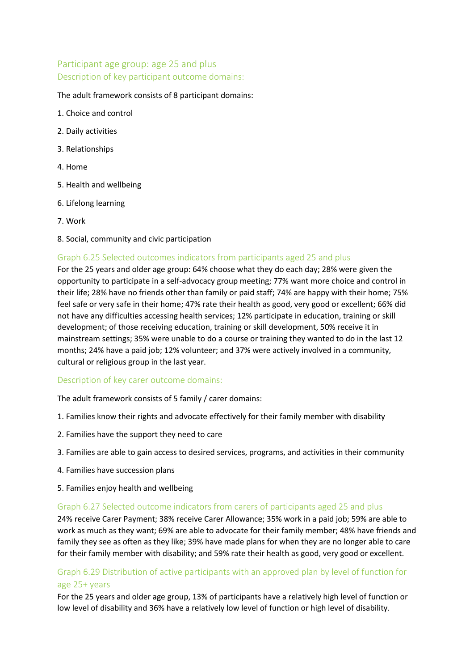## Participant age group: age 25 and plus Description of key participant outcome domains:

#### The adult framework consists of 8 participant domains:

- 1. Choice and control
- 2. Daily activities
- 3. Relationships
- 4. Home
- 5. Health and wellbeing
- 6. Lifelong learning
- 7. Work
- 8. Social, community and civic participation

#### Graph 6.25 Selected outcomes indicators from participants aged 25 and plus

For the 25 years and older age group: 64% choose what they do each day; 28% were given the opportunity to participate in a self-advocacy group meeting; 77% want more choice and control in their life; 28% have no friends other than family or paid staff; 74% are happy with their home; 75% feel safe or very safe in their home; 47% rate their health as good, very good or excellent; 66% did not have any difficulties accessing health services; 12% participate in education, training or skill development; of those receiving education, training or skill development, 50% receive it in mainstream settings; 35% were unable to do a course or training they wanted to do in the last 12 months; 24% have a paid job; 12% volunteer; and 37% were actively involved in a community, cultural or religious group in the last year.

#### Description of key carer outcome domains:

The adult framework consists of 5 family / carer domains:

- 1. Families know their rights and advocate effectively for their family member with disability
- 2. Families have the support they need to care
- 3. Families are able to gain access to desired services, programs, and activities in their community
- 4. Families have succession plans
- 5. Families enjoy health and wellbeing

#### Graph 6.27 Selected outcome indicators from carers of participants aged 25 and plus

24% receive Carer Payment; 38% receive Carer Allowance; 35% work in a paid job; 59% are able to work as much as they want; 69% are able to advocate for their family member; 48% have friends and family they see as often as they like; 39% have made plans for when they are no longer able to care for their family member with disability; and 59% rate their health as good, very good or excellent.

#### Graph 6.29 Distribution of active participants with an approved plan by level of function for age 25+ years

For the 25 years and older age group, 13% of participants have a relatively high level of function or low level of disability and 36% have a relatively low level of function or high level of disability.